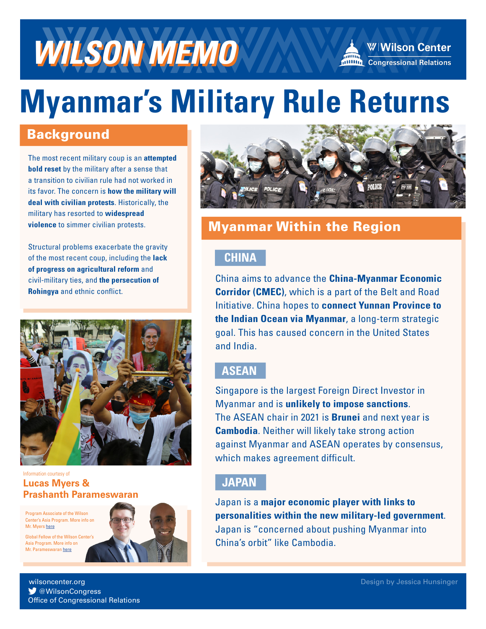

# **Myanmar's Military Rule Returns**

#### **Background**

The most recent military coup is an **attempted bold reset** by the military after a sense that a transition to civilian rule had not worked in its favor. The concern is **how the military will deal with civilian protests**. Historically, the military has resorted to **widespread violence** to simmer civilian protests.

Structural problems exacerbate the gravity of the most recent coup, including the **lack of progress on agricultural reform** and civil-military ties, and **the persecution of Rohingya** and ethnic conflict.



Information courtesy of **Lucas Myers & Prashanth Parameswaran**

Program Associate of the Wilson Center's Asia Program. More info on Mr. Myers [here](https://www.wilsoncenter.org/person/lucas-myers)

Global Fellow of the Wilson Center's Asia Program. More info on Mr. Parameswaran [here](https://www.wilsoncenter.org/person/prashanth-parameswaran)





W Wilson Center

**MILLION** Congressional Relations

### Myanmar Within the Region

#### **CHINA**

China aims to advance the **China-Myanmar Economic Corridor (CMEC)**, which is a part of the Belt and Road Initiative. China hopes to **connect Yunnan Province to the Indian Ocean via Myanmar**, a long-term strategic goal. This has caused concern in the United States and India.

#### **ASEAN**

Singapore is the largest Foreign Direct Investor in Myanmar and is **unlikely to impose sanctions**. The ASEAN chair in 2021 is **Brunei** and next year is **Cambodia**. Neither will likely take strong action against Myanmar and ASEAN operates by consensus, which makes agreement difficult.

#### **JAPAN**

Japan is a **major economic player with links to personalities within the new military-led government**. Japan is "concerned about pushing Myanmar into China's orbit" like Cambodia.

@WilsonCongress wilsoncenter.org Office of Congressional Relations